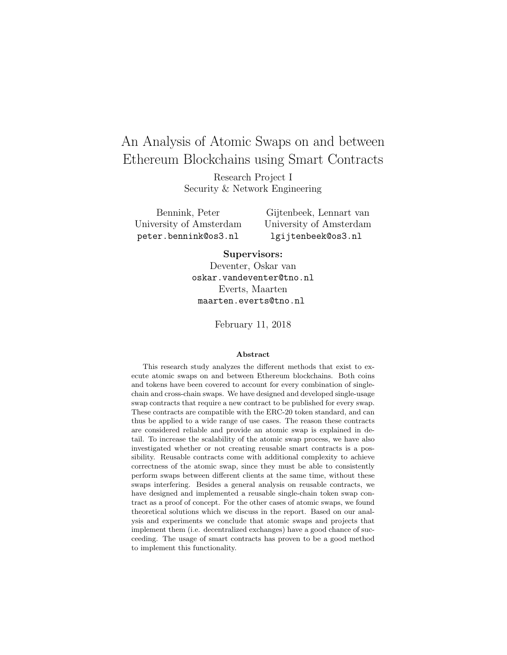# An Analysis of Atomic Swaps on and between Ethereum Blockchains using Smart Contracts

Research Project I Security & Network Engineering

Bennink, Peter University of Amsterdam peter.bennink@os3.nl

Gijtenbeek, Lennart van University of Amsterdam lgijtenbeek@os3.nl

## Supervisors:

Deventer, Oskar van oskar.vandeventer@tno.nl Everts, Maarten maarten.everts@tno.nl

February 11, 2018

## Abstract

This research study analyzes the different methods that exist to execute atomic swaps on and between Ethereum blockchains. Both coins and tokens have been covered to account for every combination of singlechain and cross-chain swaps. We have designed and developed single-usage swap contracts that require a new contract to be published for every swap. These contracts are compatible with the ERC-20 token standard, and can thus be applied to a wide range of use cases. The reason these contracts are considered reliable and provide an atomic swap is explained in detail. To increase the scalability of the atomic swap process, we have also investigated whether or not creating reusable smart contracts is a possibility. Reusable contracts come with additional complexity to achieve correctness of the atomic swap, since they must be able to consistently perform swaps between different clients at the same time, without these swaps interfering. Besides a general analysis on reusable contracts, we have designed and implemented a reusable single-chain token swap contract as a proof of concept. For the other cases of atomic swaps, we found theoretical solutions which we discuss in the report. Based on our analysis and experiments we conclude that atomic swaps and projects that implement them (i.e. decentralized exchanges) have a good chance of succeeding. The usage of smart contracts has proven to be a good method to implement this functionality.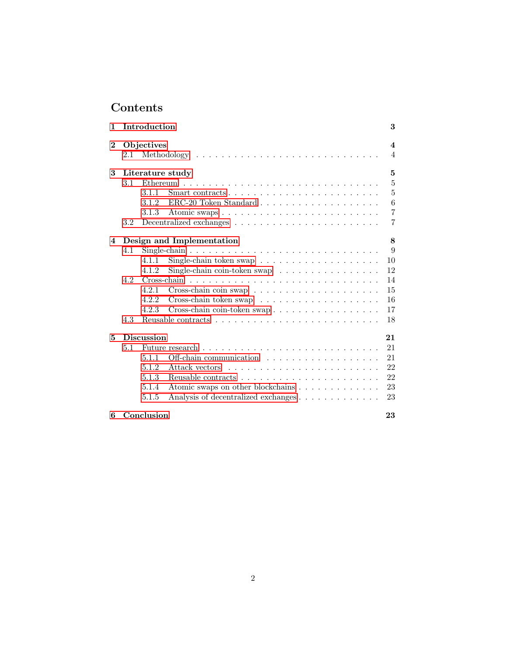# Contents

| 1        |                           | Introduction |                                                                               | 3              |
|----------|---------------------------|--------------|-------------------------------------------------------------------------------|----------------|
| $\bf{2}$ | Objectives                |              |                                                                               |                |
|          | 2.1                       |              |                                                                               | 4              |
| 3        | Literature study<br>5     |              |                                                                               |                |
|          | 3.1                       |              |                                                                               | 5              |
|          |                           | 3.1.1        | Smart contracts $\dots \dots \dots \dots \dots \dots \dots \dots \dots \dots$ | 5              |
|          |                           | 3.1.2        |                                                                               | 6              |
|          |                           | 3.1.3        |                                                                               | $\overline{7}$ |
|          | 3.2                       |              |                                                                               | 7              |
| 4        | Design and Implementation |              |                                                                               |                |
|          | 4.1                       |              |                                                                               | 9              |
|          |                           | 4.1.1        | Single-chain token swap $\ldots \ldots \ldots \ldots \ldots \ldots \ldots$    | 10             |
|          |                           | 4.1.2        | Single-chain coin-token swap $\ldots \ldots \ldots \ldots \ldots$             | 12             |
|          | 4.2                       |              |                                                                               | 14             |
|          |                           | 4.2.1        |                                                                               | 15             |
|          |                           | 4.2.2        | Cross-chain token swap $\dots \dots \dots \dots \dots \dots \dots$            | 16             |
|          |                           | 4.2.3        | Cross-chain coin-token swap                                                   | 17             |
|          | 4.3                       |              |                                                                               | 18             |
| 5        | <b>Discussion</b><br>21   |              |                                                                               |                |
|          | 5.1                       |              |                                                                               | 21             |
|          |                           | 5.1.1        | Off-chain communication                                                       | 21             |
|          |                           | 5.1.2        | Attack vectors                                                                | 22             |
|          |                           | 5.1.3        |                                                                               | 22             |
|          |                           | 5.1.4        | Atomic swaps on other blockchains                                             | 23             |
|          |                           | 5.1.5        | Analysis of decentralized exchanges                                           | 23             |
| 6        | Conclusion                |              |                                                                               | 23             |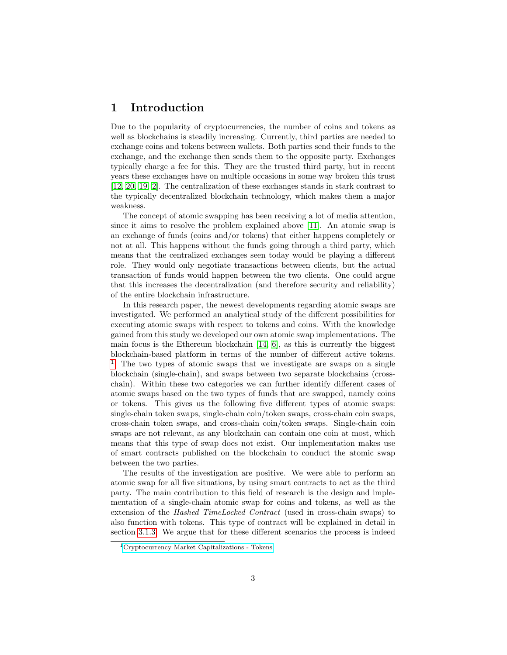# <span id="page-2-0"></span>1 Introduction

Due to the popularity of cryptocurrencies, the number of coins and tokens as well as blockchains is steadily increasing. Currently, third parties are needed to exchange coins and tokens between wallets. Both parties send their funds to the exchange, and the exchange then sends them to the opposite party. Exchanges typically charge a fee for this. They are the trusted third party, but in recent years these exchanges have on multiple occasions in some way broken this trust [\[12,](#page-24-0) [20,](#page-25-0) [19,](#page-25-1) [2\]](#page-24-1). The centralization of these exchanges stands in stark contrast to the typically decentralized blockchain technology, which makes them a major weakness.

The concept of atomic swapping has been receiving a lot of media attention, since it aims to resolve the problem explained above [\[11\]](#page-24-2). An atomic swap is an exchange of funds (coins and/or tokens) that either happens completely or not at all. This happens without the funds going through a third party, which means that the centralized exchanges seen today would be playing a different role. They would only negotiate transactions between clients, but the actual transaction of funds would happen between the two clients. One could argue that this increases the decentralization (and therefore security and reliability) of the entire blockchain infrastructure.

In this research paper, the newest developments regarding atomic swaps are investigated. We performed an analytical study of the different possibilities for executing atomic swaps with respect to tokens and coins. With the knowledge gained from this study we developed our own atomic swap implementations. The main focus is the Ethereum blockchain  $[14, 6]$  $[14, 6]$ , as this is currently the biggest blockchain-based platform in terms of the number of different active tokens. <sup>[1](#page-2-1)</sup> The two types of atomic swaps that we investigate are swaps on a single blockchain (single-chain), and swaps between two separate blockchains (crosschain). Within these two categories we can further identify different cases of atomic swaps based on the two types of funds that are swapped, namely coins or tokens. This gives us the following five different types of atomic swaps: single-chain token swaps, single-chain coin/token swaps, cross-chain coin swaps, cross-chain token swaps, and cross-chain coin/token swaps. Single-chain coin swaps are not relevant, as any blockchain can contain one coin at most, which means that this type of swap does not exist. Our implementation makes use of smart contracts published on the blockchain to conduct the atomic swap between the two parties.

The results of the investigation are positive. We were able to perform an atomic swap for all five situations, by using smart contracts to act as the third party. The main contribution to this field of research is the design and implementation of a single-chain atomic swap for coins and tokens, as well as the extension of the Hashed TimeLocked Contract (used in cross-chain swaps) to also function with tokens. This type of contract will be explained in detail in section [3.1.3.](#page-6-0) We argue that for these different scenarios the process is indeed

<span id="page-2-1"></span><sup>1</sup>[Cryptocurrency Market Capitalizations - Tokens](https://coinmarketcap.com/tokens/)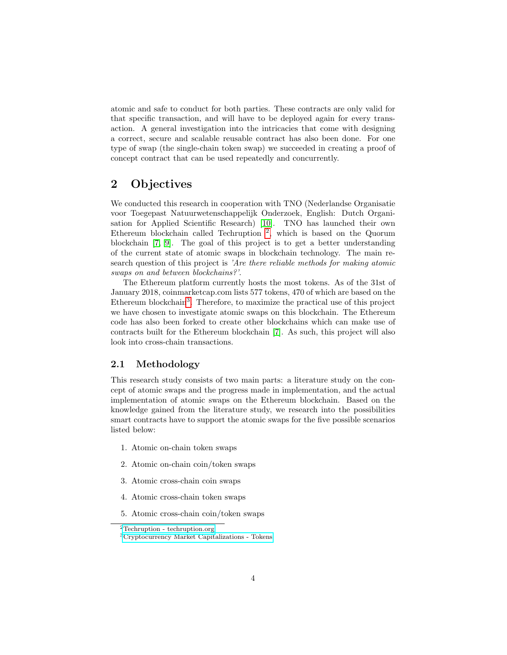atomic and safe to conduct for both parties. These contracts are only valid for that specific transaction, and will have to be deployed again for every transaction. A general investigation into the intricacies that come with designing a correct, secure and scalable reusable contract has also been done. For one type of swap (the single-chain token swap) we succeeded in creating a proof of concept contract that can be used repeatedly and concurrently.

# <span id="page-3-0"></span>2 Objectives

We conducted this research in cooperation with TNO (Nederlandse Organisatie voor Toegepast Natuurwetenschappelijk Onderzoek, English: Dutch Organisation for Applied Scientific Research) [\[10\]](#page-24-5). TNO has launched their own Ethereum blockchain called Techruption [2](#page-3-2) , which is based on the Quorum blockchain [\[7,](#page-24-6) [9\]](#page-24-7). The goal of this project is to get a better understanding of the current state of atomic swaps in blockchain technology. The main research question of this project is 'Are there reliable methods for making atomic swaps on and between blockchains?'.

The Ethereum platform currently hosts the most tokens. As of the 31st of January 2018, coinmarketcap.com lists 577 tokens, 470 of which are based on the Ethereum blockchain<sup>[3](#page-3-3)</sup>. Therefore, to maximize the practical use of this project we have chosen to investigate atomic swaps on this blockchain. The Ethereum code has also been forked to create other blockchains which can make use of contracts built for the Ethereum blockchain [\[7\]](#page-24-6). As such, this project will also look into cross-chain transactions.

## <span id="page-3-1"></span>2.1 Methodology

This research study consists of two main parts: a literature study on the concept of atomic swaps and the progress made in implementation, and the actual implementation of atomic swaps on the Ethereum blockchain. Based on the knowledge gained from the literature study, we research into the possibilities smart contracts have to support the atomic swaps for the five possible scenarios listed below:

- 1. Atomic on-chain token swaps
- 2. Atomic on-chain coin/token swaps
- 3. Atomic cross-chain coin swaps
- 4. Atomic cross-chain token swaps
- 5. Atomic cross-chain coin/token swaps

<span id="page-3-2"></span><sup>2</sup>[Techruption - techruption.org](https://www.techruption.org/)

<span id="page-3-3"></span><sup>3</sup>[Cryptocurrency Market Capitalizations - Tokens](https://coinmarketcap.com/tokens/)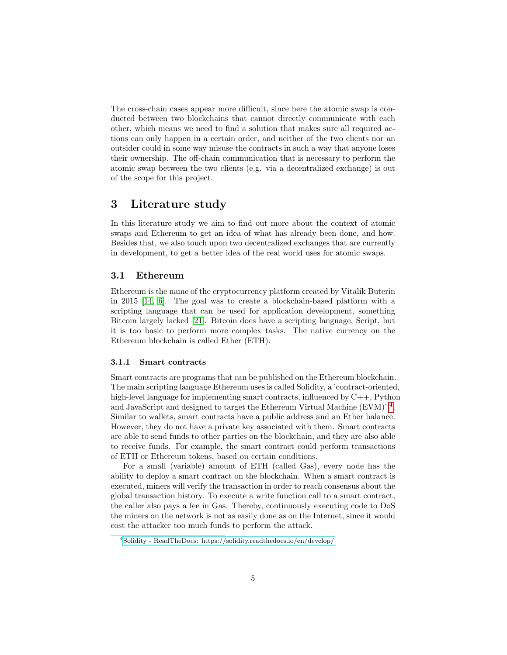The cross-chain cases appear more difficult, since here the atomic swap is conducted between two blockchains that cannot directly communicate with each other, which means we need to find a solution that makes sure all required actions can only happen in a certain order, and neither of the two clients nor an outsider could in some way misuse the contracts in such a way that anyone loses their ownership. The off-chain communication that is necessary to perform the atomic swap between the two clients (e.g. via a decentralized exchange) is out of the scope for this project.

# <span id="page-4-0"></span>3 Literature study

In this literature study we aim to find out more about the context of atomic swaps and Ethereum to get an idea of what has already been done, and how. Besides that, we also touch upon two decentralized exchanges that are currently in development, to get a better idea of the real world uses for atomic swaps.

## <span id="page-4-1"></span>3.1 Ethereum

Ethereum is the name of the cryptocurrency platform created by Vitalik Buterin in 2015 [\[14,](#page-24-3) [6\]](#page-24-4). The goal was to create a blockchain-based platform with a scripting language that can be used for application development, something Bitcoin largely lacked [\[21\]](#page-25-2). Bitcoin does have a scripting language, Script, but it is too basic to perform more complex tasks. The native currency on the Ethereum blockchain is called Ether (ETH).

#### <span id="page-4-2"></span>3.1.1 Smart contracts

Smart contracts are programs that can be published on the Ethereum blockchain. The main scripting language Ethereum uses is called Solidity, a 'contract-oriented, high-level language for implementing smart contracts, influenced by  $C_{++}$ , Python and JavaScript and designed to target the Ethereum Virtual Machine (EVM)'<sup>[4](#page-4-3)</sup>. Similar to wallets, smart contracts have a public address and an Ether balance. However, they do not have a private key associated with them. Smart contracts are able to send funds to other parties on the blockchain, and they are also able to receive funds. For example, the smart contract could perform transactions of ETH or Ethereum tokens, based on certain conditions.

For a small (variable) amount of ETH (called Gas), every node has the ability to deploy a smart contract on the blockchain. When a smart contract is executed, miners will verify the transaction in order to reach consensus about the global transaction history. To execute a write function call to a smart contract, the caller also pays a fee in Gas. Thereby, continuously executing code to DoS the miners on the network is not as easily done as on the Internet, since it would cost the attacker too much funds to perform the attack.

<span id="page-4-3"></span><sup>4</sup>[Solidity - ReadTheDocs: https://solidity.readthedocs.io/en/develop/](https://solidity.readthedocs.io/en/develop/)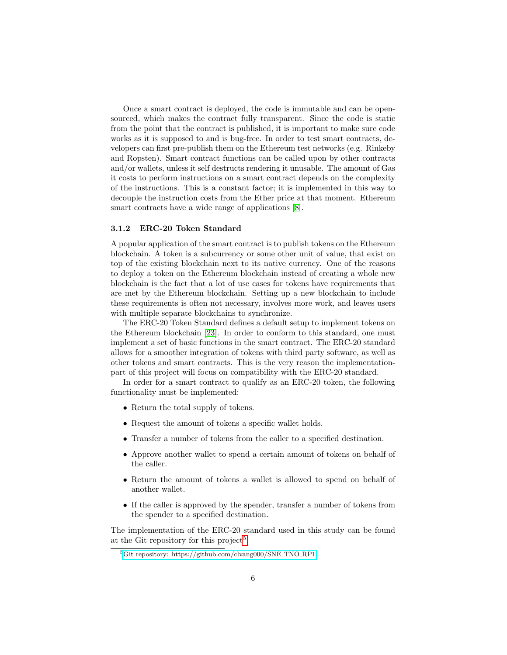Once a smart contract is deployed, the code is immutable and can be opensourced, which makes the contract fully transparent. Since the code is static from the point that the contract is published, it is important to make sure code works as it is supposed to and is bug-free. In order to test smart contracts, developers can first pre-publish them on the Ethereum test networks (e.g. Rinkeby and Ropsten). Smart contract functions can be called upon by other contracts and/or wallets, unless it self destructs rendering it unusable. The amount of Gas it costs to perform instructions on a smart contract depends on the complexity of the instructions. This is a constant factor; it is implemented in this way to decouple the instruction costs from the Ether price at that moment. Ethereum smart contracts have a wide range of applications [\[8\]](#page-24-8).

#### <span id="page-5-0"></span>3.1.2 ERC-20 Token Standard

A popular application of the smart contract is to publish tokens on the Ethereum blockchain. A token is a subcurrency or some other unit of value, that exist on top of the existing blockchain next to its native currency. One of the reasons to deploy a token on the Ethereum blockchain instead of creating a whole new blockchain is the fact that a lot of use cases for tokens have requirements that are met by the Ethereum blockchain. Setting up a new blockchain to include these requirements is often not necessary, involves more work, and leaves users with multiple separate blockchains to synchronize.

The ERC-20 Token Standard defines a default setup to implement tokens on the Ethereum blockchain [\[23\]](#page-25-3). In order to conform to this standard, one must implement a set of basic functions in the smart contract. The ERC-20 standard allows for a smoother integration of tokens with third party software, as well as other tokens and smart contracts. This is the very reason the implementationpart of this project will focus on compatibility with the ERC-20 standard.

In order for a smart contract to qualify as an ERC-20 token, the following functionality must be implemented:

- Return the total supply of tokens.
- Request the amount of tokens a specific wallet holds.
- Transfer a number of tokens from the caller to a specified destination.
- Approve another wallet to spend a certain amount of tokens on behalf of the caller.
- Return the amount of tokens a wallet is allowed to spend on behalf of another wallet.
- If the caller is approved by the spender, transfer a number of tokens from the spender to a specified destination.

The implementation of the ERC-20 standard used in this study can be found at the Git repository for this project<sup>[5](#page-5-1)</sup>.

<span id="page-5-1"></span><sup>5</sup>[Git repository: https://github.com/clvang000/SNE](https://github.com/clvang000/SNE_TNO_RP1) TNO RP1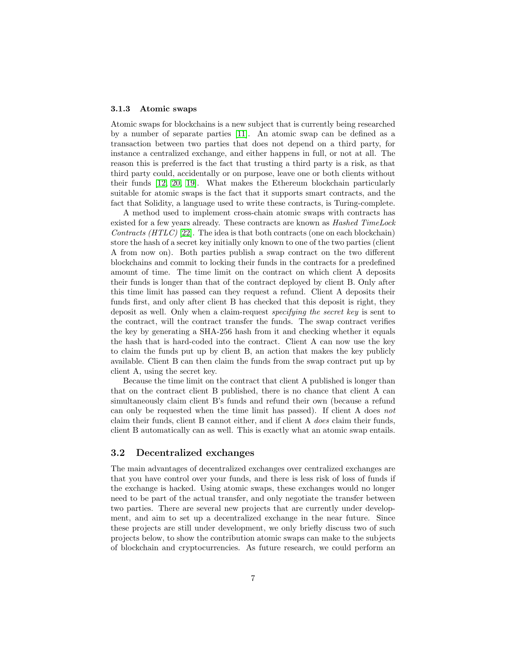## <span id="page-6-0"></span>3.1.3 Atomic swaps

Atomic swaps for blockchains is a new subject that is currently being researched by a number of separate parties [\[11\]](#page-24-2). An atomic swap can be defined as a transaction between two parties that does not depend on a third party, for instance a centralized exchange, and either happens in full, or not at all. The reason this is preferred is the fact that trusting a third party is a risk, as that third party could, accidentally or on purpose, leave one or both clients without their funds [\[12,](#page-24-0) [20,](#page-25-0) [19\]](#page-25-1). What makes the Ethereum blockchain particularly suitable for atomic swaps is the fact that it supports smart contracts, and the fact that Solidity, a language used to write these contracts, is Turing-complete.

A method used to implement cross-chain atomic swaps with contracts has existed for a few years already. These contracts are known as *Hashed TimeLock* Contracts  $(HTLC)$  [\[22\]](#page-25-4). The idea is that both contracts (one on each blockchain) store the hash of a secret key initially only known to one of the two parties (client A from now on). Both parties publish a swap contract on the two different blockchains and commit to locking their funds in the contracts for a predefined amount of time. The time limit on the contract on which client A deposits their funds is longer than that of the contract deployed by client B. Only after this time limit has passed can they request a refund. Client A deposits their funds first, and only after client B has checked that this deposit is right, they deposit as well. Only when a claim-request specifying the secret key is sent to the contract, will the contract transfer the funds. The swap contract verifies the key by generating a SHA-256 hash from it and checking whether it equals the hash that is hard-coded into the contract. Client A can now use the key to claim the funds put up by client B, an action that makes the key publicly available. Client B can then claim the funds from the swap contract put up by client A, using the secret key.

Because the time limit on the contract that client A published is longer than that on the contract client B published, there is no chance that client A can simultaneously claim client B's funds and refund their own (because a refund can only be requested when the time limit has passed). If client A does not claim their funds, client B cannot either, and if client A does claim their funds, client B automatically can as well. This is exactly what an atomic swap entails.

## <span id="page-6-1"></span>3.2 Decentralized exchanges

The main advantages of decentralized exchanges over centralized exchanges are that you have control over your funds, and there is less risk of loss of funds if the exchange is hacked. Using atomic swaps, these exchanges would no longer need to be part of the actual transfer, and only negotiate the transfer between two parties. There are several new projects that are currently under development, and aim to set up a decentralized exchange in the near future. Since these projects are still under development, we only briefly discuss two of such projects below, to show the contribution atomic swaps can make to the subjects of blockchain and cryptocurrencies. As future research, we could perform an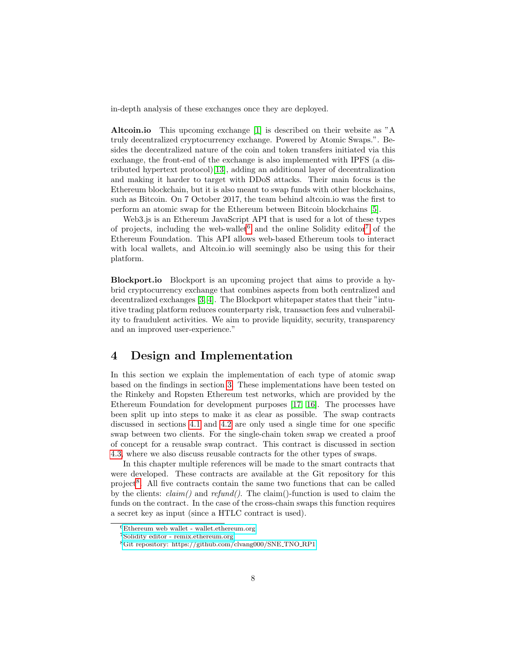in-depth analysis of these exchanges once they are deployed.

Altcoin.io This upcoming exchange [\[1\]](#page-24-9) is described on their website as "A truly decentralized cryptocurrency exchange. Powered by Atomic Swaps.". Besides the decentralized nature of the coin and token transfers initiated via this exchange, the front-end of the exchange is also implemented with IPFS (a distributed hypertext protocol)[\[13\]](#page-24-10), adding an additional layer of decentralization and making it harder to target with DDoS attacks. Their main focus is the Ethereum blockchain, but it is also meant to swap funds with other blockchains, such as Bitcoin. On 7 October 2017, the team behind altcoin.io was the first to perform an atomic swap for the Ethereum between Bitcoin blockchains [\[5\]](#page-24-11).

Web3.js is an Ethereum JavaScript API that is used for a lot of these types of projects, including the web-wallet and the online Solidity editor<sup>[7](#page-7-2)</sup> of the Ethereum Foundation. This API allows web-based Ethereum tools to interact with local wallets, and Altcoin.io will seemingly also be using this for their platform.

Blockport.io Blockport is an upcoming project that aims to provide a hybrid cryptocurrency exchange that combines aspects from both centralized and decentralized exchanges [\[3,](#page-24-12) [4\]](#page-24-13). The Blockport whitepaper states that their "intuitive trading platform reduces counterparty risk, transaction fees and vulnerability to fraudulent activities. We aim to provide liquidity, security, transparency and an improved user-experience."

# <span id="page-7-0"></span>4 Design and Implementation

In this section we explain the implementation of each type of atomic swap based on the findings in section [3.](#page-4-0) These implementations have been tested on the Rinkeby and Ropsten Ethereum test networks, which are provided by the Ethereum Foundation for development purposes [\[17,](#page-24-14) [16\]](#page-24-15). The processes have been split up into steps to make it as clear as possible. The swap contracts discussed in sections [4.1](#page-8-0) and [4.2](#page-13-0) are only used a single time for one specific swap between two clients. For the single-chain token swap we created a proof of concept for a reusable swap contract. This contract is discussed in section [4.3,](#page-17-0) where we also discuss reusable contracts for the other types of swaps.

In this chapter multiple references will be made to the smart contracts that were developed. These contracts are available at the Git repository for this project<sup>[8](#page-7-3)</sup>. All five contracts contain the same two functions that can be called by the clients:  $claim()$  and  $refund()$ . The claim()-function is used to claim the funds on the contract. In the case of the cross-chain swaps this function requires a secret key as input (since a HTLC contract is used).

<span id="page-7-1"></span> $6$ [Ethereum web wallet - wallet.ethereum.org](https://wallet.ethereum.org/)

<span id="page-7-2"></span><sup>7</sup>[Solidity editor - remix.ethereum.org](http://remix.ethereum.org/)

<span id="page-7-3"></span><sup>8</sup>[Git repository: https://github.com/clvang000/SNE](https://github.com/clvang000/SNE_TNO_RP1) TNO RP1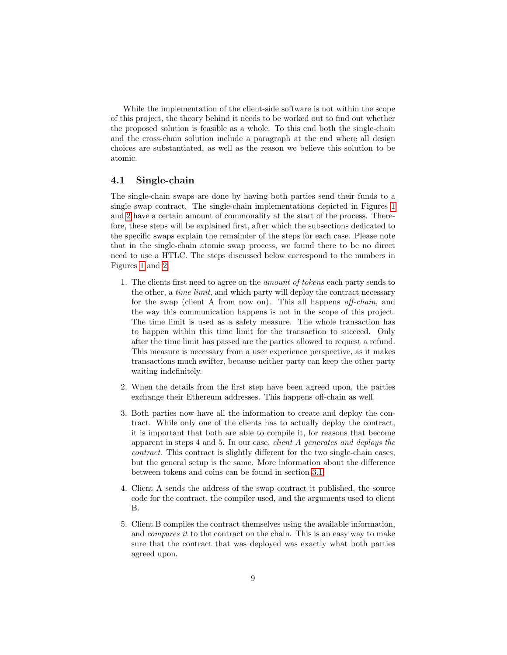While the implementation of the client-side software is not within the scope of this project, the theory behind it needs to be worked out to find out whether the proposed solution is feasible as a whole. To this end both the single-chain and the cross-chain solution include a paragraph at the end where all design choices are substantiated, as well as the reason we believe this solution to be atomic.

## <span id="page-8-0"></span>4.1 Single-chain

The single-chain swaps are done by having both parties send their funds to a single swap contract. The single-chain implementations depicted in Figures [1](#page-9-1) and [2](#page-12-0) have a certain amount of commonality at the start of the process. Therefore, these steps will be explained first, after which the subsections dedicated to the specific swaps explain the remainder of the steps for each case. Please note that in the single-chain atomic swap process, we found there to be no direct need to use a HTLC. The steps discussed below correspond to the numbers in Figures [1](#page-9-1) and [2.](#page-12-0)

- 1. The clients first need to agree on the amount of tokens each party sends to the other, a time limit, and which party will deploy the contract necessary for the swap (client A from now on). This all happens off-chain, and the way this communication happens is not in the scope of this project. The time limit is used as a safety measure. The whole transaction has to happen within this time limit for the transaction to succeed. Only after the time limit has passed are the parties allowed to request a refund. This measure is necessary from a user experience perspective, as it makes transactions much swifter, because neither party can keep the other party waiting indefinitely.
- 2. When the details from the first step have been agreed upon, the parties exchange their Ethereum addresses. This happens off-chain as well.
- 3. Both parties now have all the information to create and deploy the contract. While only one of the clients has to actually deploy the contract, it is important that both are able to compile it, for reasons that become apparent in steps 4 and 5. In our case, client A generates and deploys the contract. This contract is slightly different for the two single-chain cases, but the general setup is the same. More information about the difference between tokens and coins can be found in section [3.1.](#page-4-1)
- 4. Client A sends the address of the swap contract it published, the source code for the contract, the compiler used, and the arguments used to client B.
- 5. Client B compiles the contract themselves using the available information, and compares it to the contract on the chain. This is an easy way to make sure that the contract that was deployed was exactly what both parties agreed upon.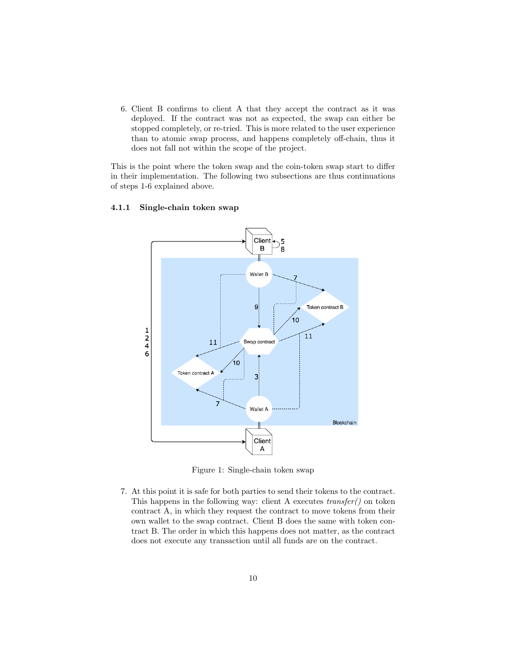6. Client B confirms to client A that they accept the contract as it was deployed. If the contract was not as expected, the swap can either be stopped completely, or re-tried. This is more related to the user experience than to atomic swap process, and happens completely off-chain, thus it does not fall not within the scope of the project.

This is the point where the token swap and the coin-token swap start to differ in their implementation. The following two subsections are thus continuations of steps 1-6 explained above.



#### <span id="page-9-0"></span>4.1.1 Single-chain token swap

<span id="page-9-1"></span>Figure 1: Single-chain token swap

7. At this point it is safe for both parties to send their tokens to the contract. This happens in the following way: client A executes transfer() on token contract A, in which they request the contract to move tokens from their own wallet to the swap contract. Client B does the same with token contract B. The order in which this happens does not matter, as the contract does not execute any transaction until all funds are on the contract.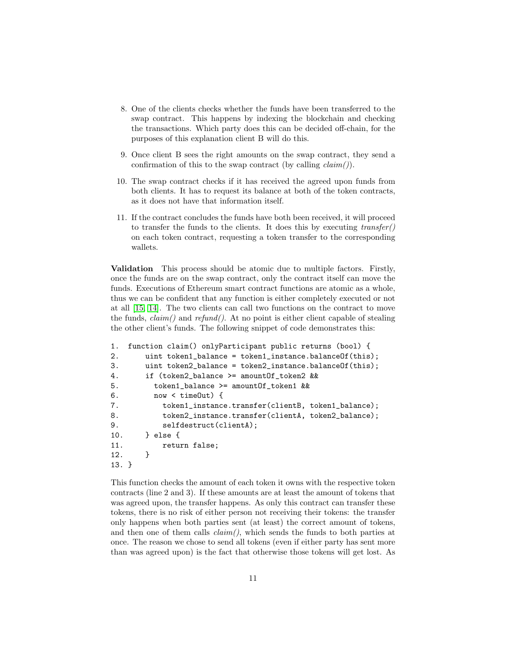- 8. One of the clients checks whether the funds have been transferred to the swap contract. This happens by indexing the blockchain and checking the transactions. Which party does this can be decided off-chain, for the purposes of this explanation client B will do this.
- 9. Once client B sees the right amounts on the swap contract, they send a confirmation of this to the swap contract (by calling  $claim()$ ).
- 10. The swap contract checks if it has received the agreed upon funds from both clients. It has to request its balance at both of the token contracts, as it does not have that information itself.
- 11. If the contract concludes the funds have both been received, it will proceed to transfer the funds to the clients. It does this by executing  $transfer()$ on each token contract, requesting a token transfer to the corresponding wallets.

Validation This process should be atomic due to multiple factors. Firstly, once the funds are on the swap contract, only the contract itself can move the funds. Executions of Ethereum smart contract functions are atomic as a whole, thus we can be confident that any function is either completely executed or not at all [\[15,](#page-24-16) [14\]](#page-24-3). The two clients can call two functions on the contract to move the funds,  $claim()$  and  $refund()$ . At no point is either client capable of stealing the other client's funds. The following snippet of code demonstrates this:

```
1. function claim() onlyParticipant public returns (bool) {
2. uint token1_balance = token1_instance.balanceOf(this);
3. uint token2_balance = token2_instance.balanceOf(this);
4. if (token2_balance >= amountOf_token2 &&
5. token1_balance >= amountOf_token1 &&
6. now < timeOut) {
7. token1_instance.transfer(clientB, token1_balance);
8. token2_instance.transfer(clientA, token2_balance);
9. selfdestruct(clientA);
10. } else {
11. return false;
12. }
13. }
```
This function checks the amount of each token it owns with the respective token contracts (line 2 and 3). If these amounts are at least the amount of tokens that was agreed upon, the transfer happens. As only this contract can transfer these tokens, there is no risk of either person not receiving their tokens: the transfer only happens when both parties sent (at least) the correct amount of tokens, and then one of them calls  $claim(),$  which sends the funds to both parties at once. The reason we chose to send all tokens (even if either party has sent more than was agreed upon) is the fact that otherwise those tokens will get lost. As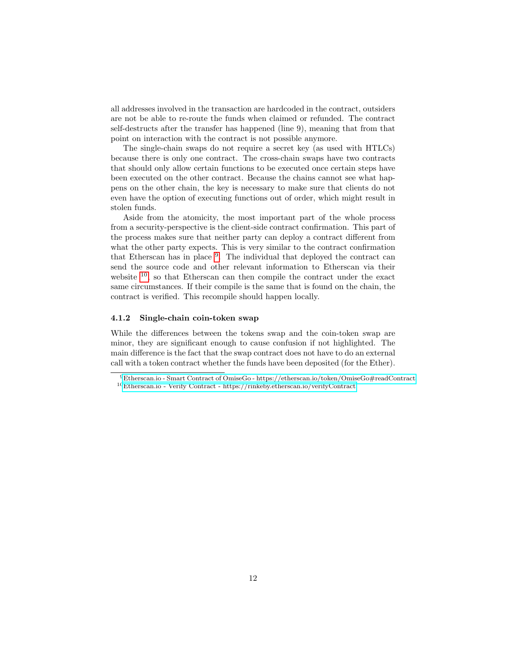all addresses involved in the transaction are hardcoded in the contract, outsiders are not be able to re-route the funds when claimed or refunded. The contract self-destructs after the transfer has happened (line 9), meaning that from that point on interaction with the contract is not possible anymore.

The single-chain swaps do not require a secret key (as used with HTLCs) because there is only one contract. The cross-chain swaps have two contracts that should only allow certain functions to be executed once certain steps have been executed on the other contract. Because the chains cannot see what happens on the other chain, the key is necessary to make sure that clients do not even have the option of executing functions out of order, which might result in stolen funds.

Aside from the atomicity, the most important part of the whole process from a security-perspective is the client-side contract confirmation. This part of the process makes sure that neither party can deploy a contract different from what the other party expects. This is very similar to the contract confirmation that Etherscan has in place <sup>[9](#page-11-1)</sup>. The individual that deployed the contract can send the source code and other relevant information to Etherscan via their website  $10$ , so that Etherscan can then compile the contract under the exact same circumstances. If their compile is the same that is found on the chain, the contract is verified. This recompile should happen locally.

## <span id="page-11-0"></span>4.1.2 Single-chain coin-token swap

While the differences between the tokens swap and the coin-token swap are minor, they are significant enough to cause confusion if not highlighted. The main difference is the fact that the swap contract does not have to do an external call with a token contract whether the funds have been deposited (for the Ether).

<span id="page-11-2"></span><span id="page-11-1"></span><sup>9</sup>[Etherscan.io - Smart Contract of OmiseGo - https://etherscan.io/token/OmiseGo#readContract](https://etherscan.io/token/OmiseGo#readContract) <sup>10</sup>[Etherscan.io - Verify Contract - https://rinkeby.etherscan.io/verifyContract](https://rinkeby.etherscan.io/verifyContract)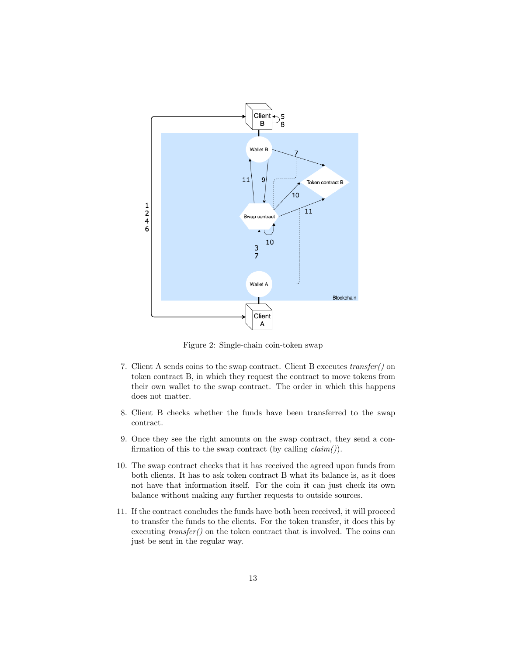

<span id="page-12-0"></span>Figure 2: Single-chain coin-token swap

- 7. Client A sends coins to the swap contract. Client B executes transfer() on token contract B, in which they request the contract to move tokens from their own wallet to the swap contract. The order in which this happens does not matter.
- 8. Client B checks whether the funds have been transferred to the swap contract.
- 9. Once they see the right amounts on the swap contract, they send a confirmation of this to the swap contract (by calling  $claim()$ ).
- 10. The swap contract checks that it has received the agreed upon funds from both clients. It has to ask token contract B what its balance is, as it does not have that information itself. For the coin it can just check its own balance without making any further requests to outside sources.
- 11. If the contract concludes the funds have both been received, it will proceed to transfer the funds to the clients. For the token transfer, it does this by executing  $transfer()$  on the token contract that is involved. The coins can just be sent in the regular way.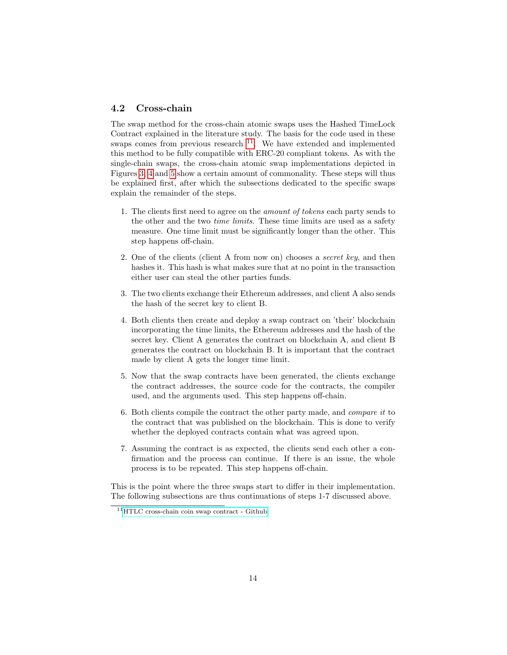## <span id="page-13-0"></span>4.2 Cross-chain

The swap method for the cross-chain atomic swaps uses the Hashed TimeLock Contract explained in the literature study. The basis for the code used in these swaps comes from previous research  $11$ . We have extended and implemented this method to be fully compatible with ERC-20 compliant tokens. As with the single-chain swaps, the cross-chain atomic swap implementations depicted in Figures [3,](#page-14-1) [4](#page-15-1) and [5](#page-16-1) show a certain amount of commonality. These steps will thus be explained first, after which the subsections dedicated to the specific swaps explain the remainder of the steps.

- 1. The clients first need to agree on the amount of tokens each party sends to the other and the two time limits. These time limits are used as a safety measure. One time limit must be significantly longer than the other. This step happens off-chain.
- 2. One of the clients (client A from now on) chooses a secret key, and then hashes it. This hash is what makes sure that at no point in the transaction either user can steal the other parties funds.
- 3. The two clients exchange their Ethereum addresses, and client A also sends the hash of the secret key to client B.
- 4. Both clients then create and deploy a swap contract on 'their' blockchain incorporating the time limits, the Ethereum addresses and the hash of the secret key. Client A generates the contract on blockchain A, and client B generates the contract on blockchain B. It is important that the contract made by client A gets the longer time limit.
- 5. Now that the swap contracts have been generated, the clients exchange the contract addresses, the source code for the contracts, the compiler used, and the arguments used. This step happens off-chain.
- 6. Both clients compile the contract the other party made, and compare it to the contract that was published on the blockchain. This is done to verify whether the deployed contracts contain what was agreed upon.
- 7. Assuming the contract is as expected, the clients send each other a confirmation and the process can continue. If there is an issue, the whole process is to be repeated. This step happens off-chain.

This is the point where the three swaps start to differ in their implementation. The following subsections are thus continuations of steps 1-7 discussed above.

<span id="page-13-1"></span><sup>11</sup>[HTLC cross-chain coin swap contract - Github](https://github.com/realcodywburns/Tank-Farm/blob/master/contracts/locking/HTLC(mew).sol)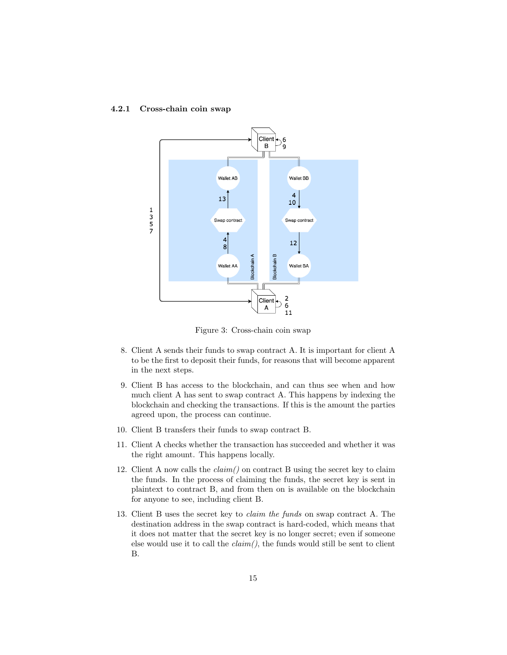

### <span id="page-14-0"></span>4.2.1 Cross-chain coin swap

<span id="page-14-1"></span>Figure 3: Cross-chain coin swap

- 8. Client A sends their funds to swap contract A. It is important for client A to be the first to deposit their funds, for reasons that will become apparent in the next steps.
- 9. Client B has access to the blockchain, and can thus see when and how much client A has sent to swap contract A. This happens by indexing the blockchain and checking the transactions. If this is the amount the parties agreed upon, the process can continue.
- 10. Client B transfers their funds to swap contract B.
- 11. Client A checks whether the transaction has succeeded and whether it was the right amount. This happens locally.
- 12. Client A now calls the  $claim()$  on contract B using the secret key to claim the funds. In the process of claiming the funds, the secret key is sent in plaintext to contract B, and from then on is available on the blockchain for anyone to see, including client B.
- 13. Client B uses the secret key to claim the funds on swap contract A. The destination address in the swap contract is hard-coded, which means that it does not matter that the secret key is no longer secret; even if someone else would use it to call the  $claim(),$  the funds would still be sent to client B.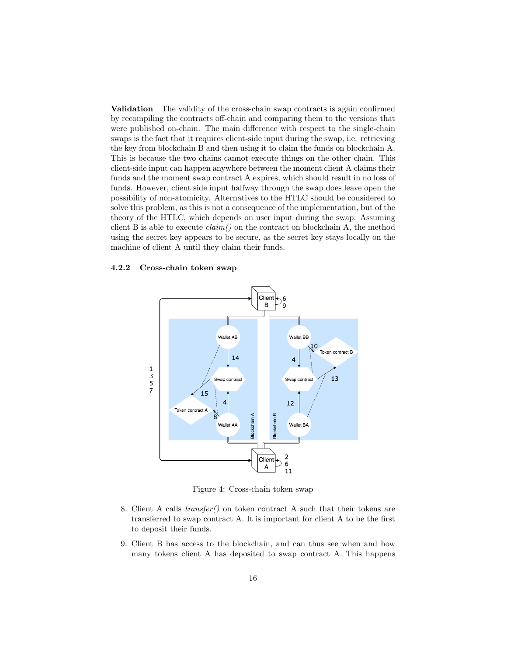Validation The validity of the cross-chain swap contracts is again confirmed by recompiling the contracts off-chain and comparing them to the versions that were published on-chain. The main difference with respect to the single-chain swaps is the fact that it requires client-side input during the swap, i.e. retrieving the key from blockchain B and then using it to claim the funds on blockchain A. This is because the two chains cannot execute things on the other chain. This client-side input can happen anywhere between the moment client A claims their funds and the moment swap contract A expires, which should result in no loss of funds. However, client side input halfway through the swap does leave open the possibility of non-atomicity. Alternatives to the HTLC should be considered to solve this problem, as this is not a consequence of the implementation, but of the theory of the HTLC, which depends on user input during the swap. Assuming client B is able to execute  $claim()$  on the contract on blockchain A, the method using the secret key appears to be secure, as the secret key stays locally on the machine of client A until they claim their funds.

#### <span id="page-15-0"></span>4.2.2 Cross-chain token swap



<span id="page-15-1"></span>Figure 4: Cross-chain token swap

- 8. Client A calls transfer() on token contract A such that their tokens are transferred to swap contract A. It is important for client A to be the first to deposit their funds.
- 9. Client B has access to the blockchain, and can thus see when and how many tokens client A has deposited to swap contract A. This happens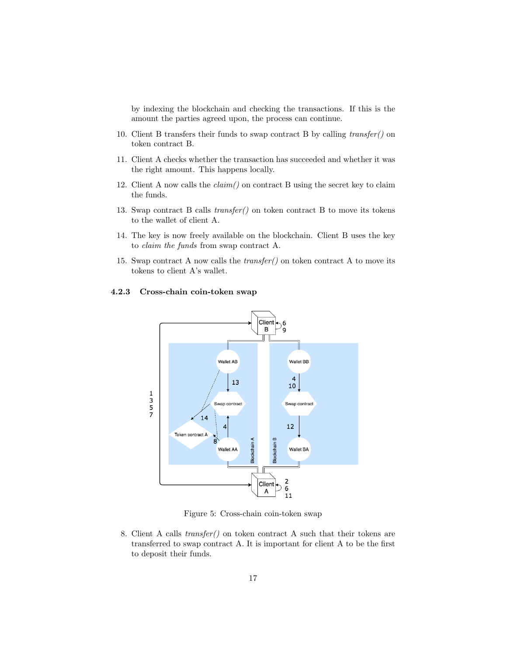by indexing the blockchain and checking the transactions. If this is the amount the parties agreed upon, the process can continue.

- 10. Client B transfers their funds to swap contract B by calling transfer() on token contract B.
- 11. Client A checks whether the transaction has succeeded and whether it was the right amount. This happens locally.
- 12. Client A now calls the  $claim()$  on contract B using the secret key to claim the funds.
- 13. Swap contract B calls transfer() on token contract B to move its tokens to the wallet of client A.
- 14. The key is now freely available on the blockchain. Client B uses the key to claim the funds from swap contract A.
- 15. Swap contract A now calls the  $transfer()$  on token contract A to move its tokens to client A's wallet.

## Client<sup>1</sup> 6 B Wallet AB Wallet BB  $\begin{array}{c} 4 \\ 10 \end{array}$ 13  $\begin{array}{c}\n1 \\
3 \\
5 \\
7\n\end{array}$ Swap contract Swap contract  $14$ 12  $\overline{4}$ Token contract A  $\sum_{i=1}^{n}$ Blockchain Wallet AA Wallet BA  $\begin{array}{c} 2 \\ 6 \end{array}$ Client  $\boldsymbol{\mathsf{A}}$  $11$

### <span id="page-16-0"></span>4.2.3 Cross-chain coin-token swap

<span id="page-16-1"></span>Figure 5: Cross-chain coin-token swap

8. Client A calls transfer() on token contract A such that their tokens are transferred to swap contract A. It is important for client A to be the first to deposit their funds.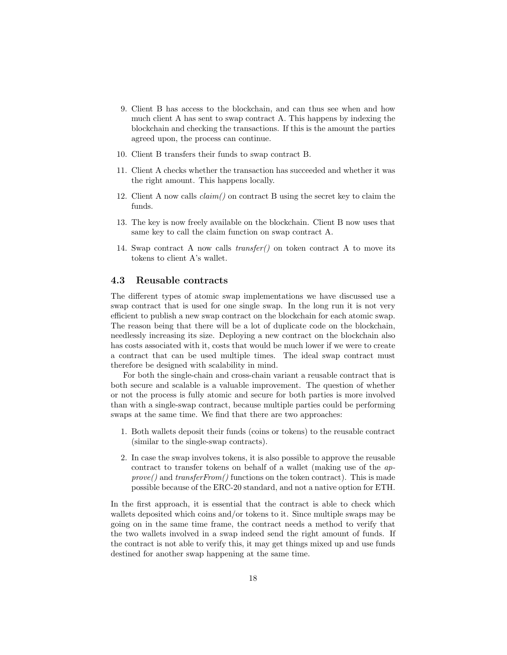- 9. Client B has access to the blockchain, and can thus see when and how much client A has sent to swap contract A. This happens by indexing the blockchain and checking the transactions. If this is the amount the parties agreed upon, the process can continue.
- 10. Client B transfers their funds to swap contract B.
- 11. Client A checks whether the transaction has succeeded and whether it was the right amount. This happens locally.
- 12. Client A now calls  $claim()$  on contract B using the secret key to claim the funds.
- 13. The key is now freely available on the blockchain. Client B now uses that same key to call the claim function on swap contract A.
- 14. Swap contract A now calls transfer() on token contract A to move its tokens to client A's wallet.

## <span id="page-17-0"></span>4.3 Reusable contracts

The different types of atomic swap implementations we have discussed use a swap contract that is used for one single swap. In the long run it is not very efficient to publish a new swap contract on the blockchain for each atomic swap. The reason being that there will be a lot of duplicate code on the blockchain, needlessly increasing its size. Deploying a new contract on the blockchain also has costs associated with it, costs that would be much lower if we were to create a contract that can be used multiple times. The ideal swap contract must therefore be designed with scalability in mind.

For both the single-chain and cross-chain variant a reusable contract that is both secure and scalable is a valuable improvement. The question of whether or not the process is fully atomic and secure for both parties is more involved than with a single-swap contract, because multiple parties could be performing swaps at the same time. We find that there are two approaches:

- 1. Both wallets deposit their funds (coins or tokens) to the reusable contract (similar to the single-swap contracts).
- 2. In case the swap involves tokens, it is also possible to approve the reusable contract to transfer tokens on behalf of a wallet (making use of the ap $prove()$  and  $transferFrom()$  functions on the token contract). This is made possible because of the ERC-20 standard, and not a native option for ETH.

In the first approach, it is essential that the contract is able to check which wallets deposited which coins and/or tokens to it. Since multiple swaps may be going on in the same time frame, the contract needs a method to verify that the two wallets involved in a swap indeed send the right amount of funds. If the contract is not able to verify this, it may get things mixed up and use funds destined for another swap happening at the same time.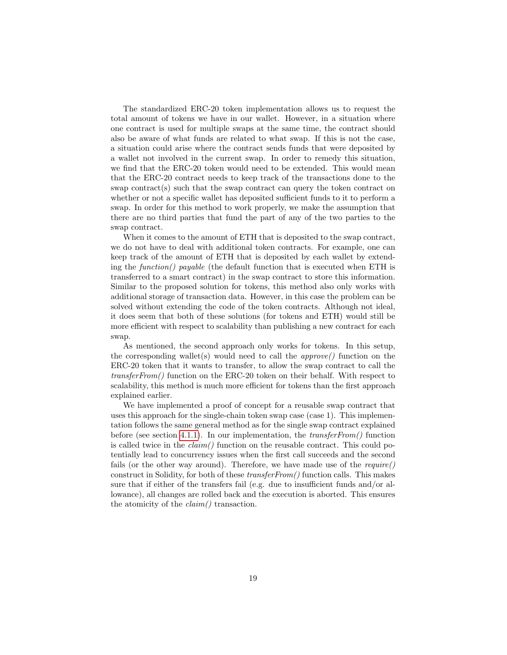The standardized ERC-20 token implementation allows us to request the total amount of tokens we have in our wallet. However, in a situation where one contract is used for multiple swaps at the same time, the contract should also be aware of what funds are related to what swap. If this is not the case, a situation could arise where the contract sends funds that were deposited by a wallet not involved in the current swap. In order to remedy this situation, we find that the ERC-20 token would need to be extended. This would mean that the ERC-20 contract needs to keep track of the transactions done to the swap contract(s) such that the swap contract can query the token contract on whether or not a specific wallet has deposited sufficient funds to it to perform a swap. In order for this method to work properly, we make the assumption that there are no third parties that fund the part of any of the two parties to the swap contract.

When it comes to the amount of ETH that is deposited to the swap contract, we do not have to deal with additional token contracts. For example, one can keep track of the amount of ETH that is deposited by each wallet by extending the function() payable (the default function that is executed when ETH is transferred to a smart contract) in the swap contract to store this information. Similar to the proposed solution for tokens, this method also only works with additional storage of transaction data. However, in this case the problem can be solved without extending the code of the token contracts. Although not ideal, it does seem that both of these solutions (for tokens and ETH) would still be more efficient with respect to scalability than publishing a new contract for each swap.

As mentioned, the second approach only works for tokens. In this setup, the corresponding wallet(s) would need to call the  $\textit{approx}(t)$  function on the ERC-20 token that it wants to transfer, to allow the swap contract to call the  $transferFrom()$  function on the ERC-20 token on their behalf. With respect to scalability, this method is much more efficient for tokens than the first approach explained earlier.

We have implemented a proof of concept for a reusable swap contract that uses this approach for the single-chain token swap case (case 1). This implementation follows the same general method as for the single swap contract explained before (see section [4.1.1\)](#page-9-0). In our implementation, the  $transferFrom()$  function is called twice in the  $claim()$  function on the reusable contract. This could potentially lead to concurrency issues when the first call succeeds and the second fails (or the other way around). Therefore, we have made use of the require() construct in Solidity, for both of these transferFrom() function calls. This makes sure that if either of the transfers fail (e.g. due to insufficient funds and/or allowance), all changes are rolled back and the execution is aborted. This ensures the atomicity of the claim() transaction.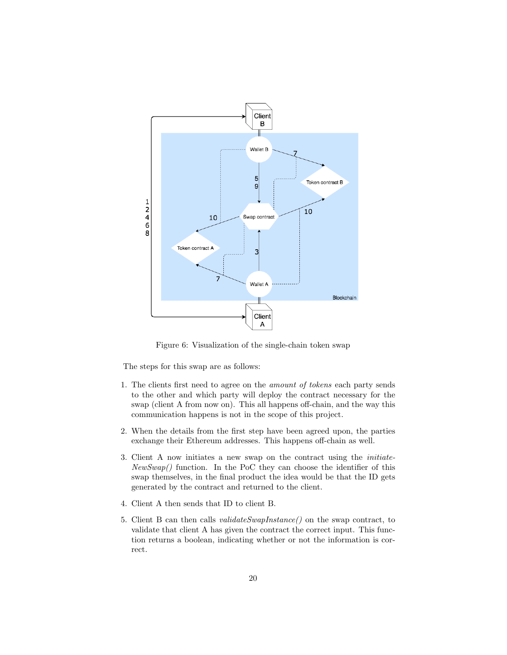

Figure 6: Visualization of the single-chain token swap

The steps for this swap are as follows:

- 1. The clients first need to agree on the amount of tokens each party sends to the other and which party will deploy the contract necessary for the swap (client A from now on). This all happens off-chain, and the way this communication happens is not in the scope of this project.
- 2. When the details from the first step have been agreed upon, the parties exchange their Ethereum addresses. This happens off-chain as well.
- 3. Client A now initiates a new swap on the contract using the initiate- $NewSwap()$  function. In the PoC they can choose the identifier of this swap themselves, in the final product the idea would be that the ID gets generated by the contract and returned to the client.
- 4. Client A then sends that ID to client B.
- 5. Client B can then calls validateSwapInstance() on the swap contract, to validate that client A has given the contract the correct input. This function returns a boolean, indicating whether or not the information is correct.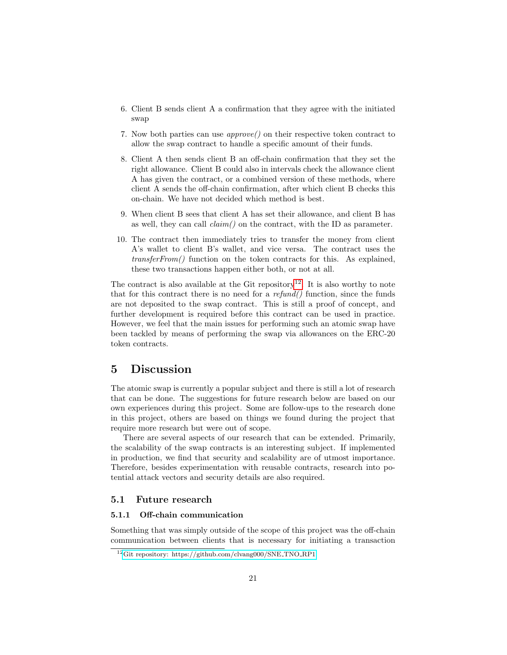- 6. Client B sends client A a confirmation that they agree with the initiated swap
- 7. Now both parties can use approve() on their respective token contract to allow the swap contract to handle a specific amount of their funds.
- 8. Client A then sends client B an off-chain confirmation that they set the right allowance. Client B could also in intervals check the allowance client A has given the contract, or a combined version of these methods, where client A sends the off-chain confirmation, after which client B checks this on-chain. We have not decided which method is best.
- 9. When client B sees that client A has set their allowance, and client B has as well, they can call claim() on the contract, with the ID as parameter.
- 10. The contract then immediately tries to transfer the money from client A's wallet to client B's wallet, and vice versa. The contract uses the transferFrom() function on the token contracts for this. As explained, these two transactions happen either both, or not at all.

The contract is also available at the Git repository<sup>[12](#page-20-3)</sup>. It is also worthy to note that for this contract there is no need for a  $refund()$  function, since the funds are not deposited to the swap contract. This is still a proof of concept, and further development is required before this contract can be used in practice. However, we feel that the main issues for performing such an atomic swap have been tackled by means of performing the swap via allowances on the ERC-20 token contracts.

# <span id="page-20-0"></span>5 Discussion

The atomic swap is currently a popular subject and there is still a lot of research that can be done. The suggestions for future research below are based on our own experiences during this project. Some are follow-ups to the research done in this project, others are based on things we found during the project that require more research but were out of scope.

There are several aspects of our research that can be extended. Primarily, the scalability of the swap contracts is an interesting subject. If implemented in production, we find that security and scalability are of utmost importance. Therefore, besides experimentation with reusable contracts, research into potential attack vectors and security details are also required.

## <span id="page-20-1"></span>5.1 Future research

## <span id="page-20-2"></span>5.1.1 Off-chain communication

Something that was simply outside of the scope of this project was the off-chain communication between clients that is necessary for initiating a transaction

<span id="page-20-3"></span><sup>&</sup>lt;sup>12</sup>[Git repository: https://github.com/clvang000/SNE](https://github.com/clvang000/SNE_TNO_RP1)\_TNO\_RP1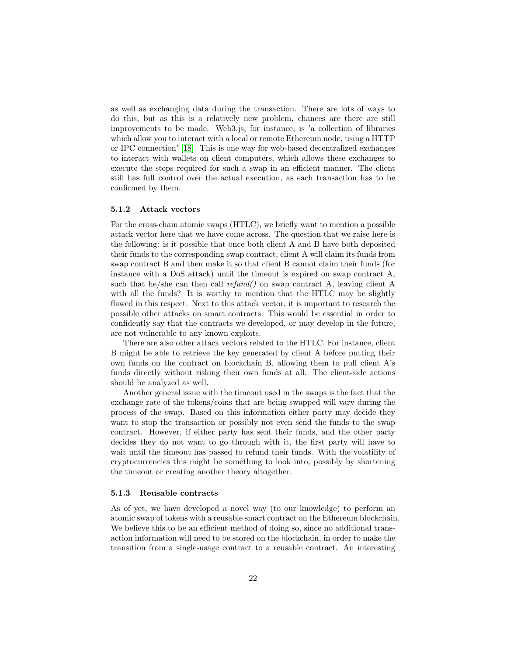as well as exchanging data during the transaction. There are lots of ways to do this, but as this is a relatively new problem, chances are there are still improvements to be made. Web3.js, for instance, is 'a collection of libraries which allow you to interact with a local or remote Ethereum node, using a HTTP or IPC connection' [\[18\]](#page-24-17). This is one way for web-based decentralized exchanges to interact with wallets on client computers, which allows these exchanges to execute the steps required for such a swap in an efficient manner. The client still has full control over the actual execution, as each transaction has to be confirmed by them.

## <span id="page-21-0"></span>5.1.2 Attack vectors

For the cross-chain atomic swaps (HTLC), we briefly want to mention a possible attack vector here that we have come across. The question that we raise here is the following: is it possible that once both client A and B have both deposited their funds to the corresponding swap contract, client A will claim its funds from swap contract B and then make it so that client B cannot claim their funds (for instance with a DoS attack) until the timeout is expired on swap contract A, such that he/she can then call  $refund()$  on swap contract A, leaving client A with all the funds? It is worthy to mention that the HTLC may be slightly flawed in this respect. Next to this attack vector, it is important to research the possible other attacks on smart contracts. This would be essential in order to confidently say that the contracts we developed, or may develop in the future, are not vulnerable to any known exploits.

There are also other attack vectors related to the HTLC. For instance, client B might be able to retrieve the key generated by client A before putting their own funds on the contract on blockchain B, allowing them to pull client A's funds directly without risking their own funds at all. The client-side actions should be analyzed as well.

Another general issue with the timeout used in the swaps is the fact that the exchange rate of the tokens/coins that are being swapped will vary during the process of the swap. Based on this information either party may decide they want to stop the transaction or possibly not even send the funds to the swap contract. However, if either party has sent their funds, and the other party decides they do not want to go through with it, the first party will have to wait until the timeout has passed to refund their funds. With the volatility of cryptocurrencies this might be something to look into, possibly by shortening the timeout or creating another theory altogether.

#### <span id="page-21-1"></span>5.1.3 Reusable contracts

As of yet, we have developed a novel way (to our knowledge) to perform an atomic swap of tokens with a reusable smart contract on the Ethereum blockchain. We believe this to be an efficient method of doing so, since no additional transaction information will need to be stored on the blockchain, in order to make the transition from a single-usage contract to a reusable contract. An interesting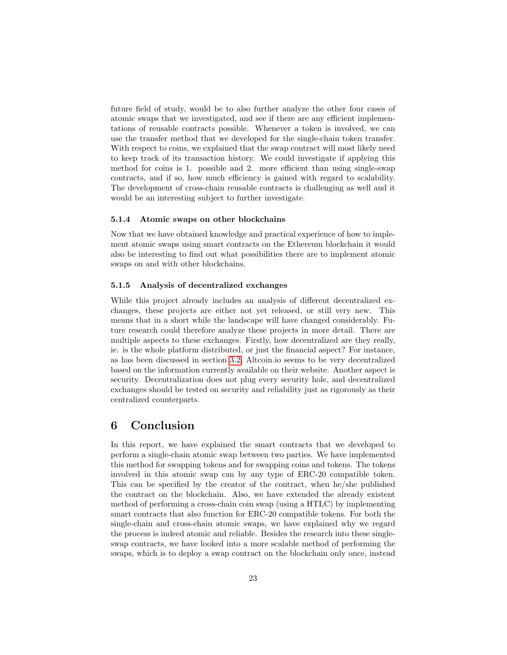future field of study, would be to also further analyze the other four cases of atomic swaps that we investigated, and see if there are any efficient implementations of reusable contracts possible. Whenever a token is involved, we can use the transfer method that we developed for the single-chain token transfer. With respect to coins, we explained that the swap contract will most likely need to keep track of its transaction history. We could investigate if applying this method for coins is 1. possible and 2. more efficient than using single-swap contracts, and if so, how much efficiency is gained with regard to scalability. The development of cross-chain reusable contracts is challenging as well and it would be an interesting subject to further investigate.

### <span id="page-22-0"></span>5.1.4 Atomic swaps on other blockchains

Now that we have obtained knowledge and practical experience of how to implement atomic swaps using smart contracts on the Ethereum blockchain it would also be interesting to find out what possibilities there are to implement atomic swaps on and with other blockchains.

### <span id="page-22-1"></span>5.1.5 Analysis of decentralized exchanges

While this project already includes an analysis of different decentralized exchanges, these projects are either not yet released, or still very new. This means that in a short while the landscape will have changed considerably. Future research could therefore analyze these projects in more detail. There are multiple aspects to these exchanges. Firstly, how decentralized are they really, ie. is the whole platform distributed, or just the financial aspect? For instance, as has been discussed in section [3.2,](#page-6-1) Altcoin.io seems to be very decentralized based on the information currently available on their website. Another aspect is security. Decentralization does not plug every security hole, and decentralized exchanges should be tested on security and reliability just as rigorously as their centralized counterparts.

## <span id="page-22-2"></span>6 Conclusion

In this report, we have explained the smart contracts that we developed to perform a single-chain atomic swap between two parties. We have implemented this method for swapping tokens and for swapping coins and tokens. The tokens involved in this atomic swap can by any type of ERC-20 compatible token. This can be specified by the creator of the contract, when he/she published the contract on the blockchain. Also, we have extended the already existent method of performing a cross-chain coin swap (using a HTLC) by implementing smart contracts that also function for ERC-20 compatible tokens. For both the single-chain and cross-chain atomic swaps, we have explained why we regard the process is indeed atomic and reliable. Besides the research into these singleswap contracts, we have looked into a more scalable method of performing the swaps, which is to deploy a swap contract on the blockchain only once, instead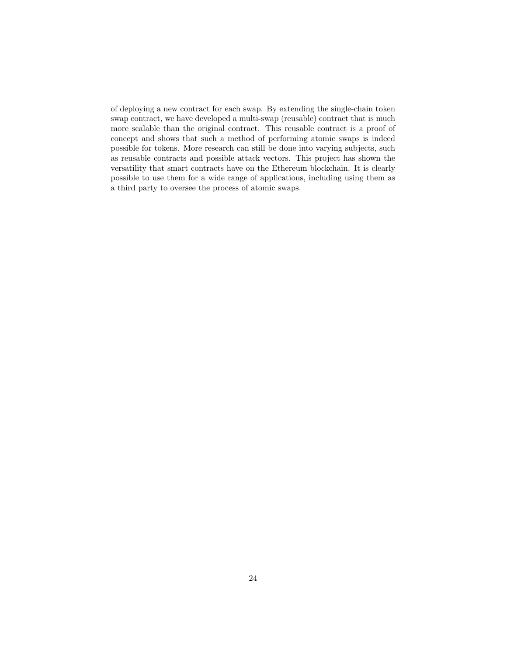of deploying a new contract for each swap. By extending the single-chain token swap contract, we have developed a multi-swap (reusable) contract that is much more scalable than the original contract. This reusable contract is a proof of concept and shows that such a method of performing atomic swaps is indeed possible for tokens. More research can still be done into varying subjects, such as reusable contracts and possible attack vectors. This project has shown the versatility that smart contracts have on the Ethereum blockchain. It is clearly possible to use them for a wide range of applications, including using them as a third party to oversee the process of atomic swaps.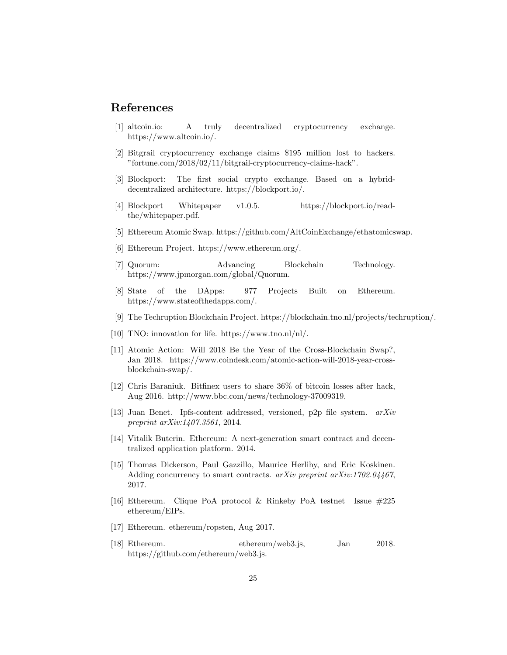## References

- <span id="page-24-9"></span>[1] altcoin.io: A truly decentralized cryptocurrency exchange. https://www.altcoin.io/.
- <span id="page-24-1"></span>[2] Bitgrail cryptocurrency exchange claims \$195 million lost to hackers. "fortune.com/2018/02/11/bitgrail-cryptocurrency-claims-hack".
- <span id="page-24-12"></span>[3] Blockport: The first social crypto exchange. Based on a hybriddecentralized architecture. https://blockport.io/.
- <span id="page-24-13"></span>[4] Blockport Whitepaper v1.0.5. https://blockport.io/readthe/whitepaper.pdf.
- <span id="page-24-11"></span>[5] Ethereum Atomic Swap. https://github.com/AltCoinExchange/ethatomicswap.
- <span id="page-24-4"></span>[6] Ethereum Project. https://www.ethereum.org/.
- <span id="page-24-6"></span>[7] Quorum: Advancing Blockchain Technology. https://www.jpmorgan.com/global/Quorum.
- <span id="page-24-8"></span>[8] State of the DApps: 977 Projects Built on Ethereum. https://www.stateofthedapps.com/.
- <span id="page-24-7"></span>[9] The Techruption Blockchain Project. https://blockchain.tno.nl/projects/techruption/.
- <span id="page-24-5"></span>[10] TNO: innovation for life. https://www.tno.nl/nl/.
- <span id="page-24-2"></span>[11] Atomic Action: Will 2018 Be the Year of the Cross-Blockchain Swap?, Jan 2018. https://www.coindesk.com/atomic-action-will-2018-year-crossblockchain-swap/.
- <span id="page-24-0"></span>[12] Chris Baraniuk. Bitfinex users to share 36% of bitcoin losses after hack, Aug 2016. http://www.bbc.com/news/technology-37009319.
- <span id="page-24-10"></span>[13] Juan Benet. Ipfs-content addressed, versioned, p2p file system.  $arXiv$ preprint arXiv:1407.3561, 2014.
- <span id="page-24-3"></span>[14] Vitalik Buterin. Ethereum: A next-generation smart contract and decentralized application platform. 2014.
- <span id="page-24-16"></span>[15] Thomas Dickerson, Paul Gazzillo, Maurice Herlihy, and Eric Koskinen. Adding concurrency to smart contracts. arXiv preprint arXiv:1702.04467, 2017.
- <span id="page-24-15"></span>[16] Ethereum. Clique PoA protocol & Rinkeby PoA testnet Issue #225 ethereum/EIPs.
- <span id="page-24-14"></span>[17] Ethereum. ethereum/ropsten, Aug 2017.
- <span id="page-24-17"></span>[18] Ethereum. ethereum/web3.js, Jan 2018. https://github.com/ethereum/web3.js.